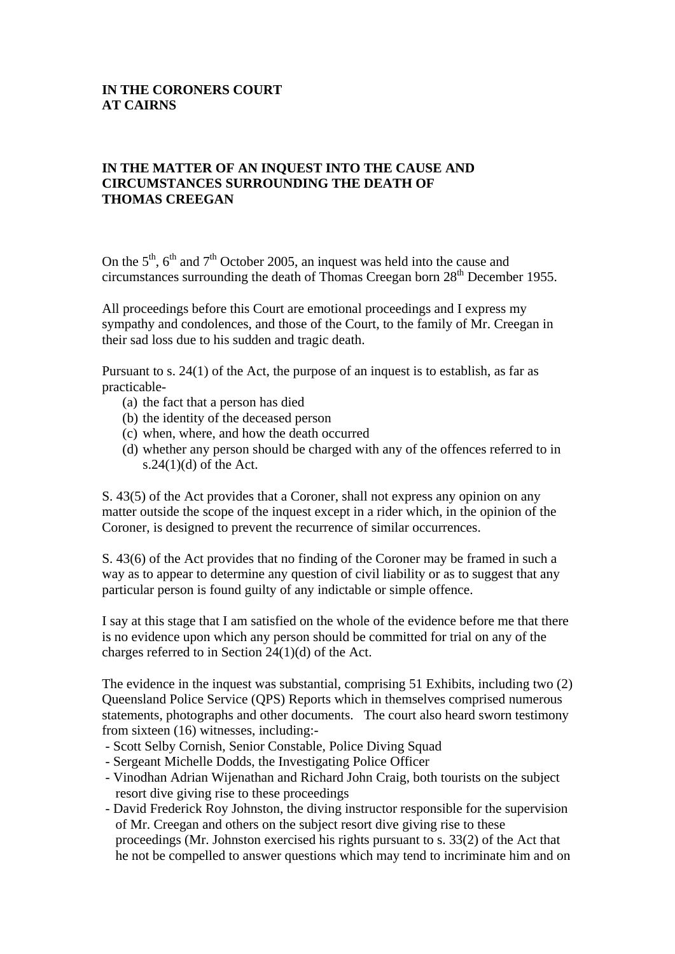### **IN THE CORONERS COURT AT CAIRNS**

## **IN THE MATTER OF AN INQUEST INTO THE CAUSE AND CIRCUMSTANCES SURROUNDING THE DEATH OF THOMAS CREEGAN**

On the  $5<sup>th</sup>$ ,  $6<sup>th</sup>$  and  $7<sup>th</sup>$  October 2005, an inquest was held into the cause and circumstances surrounding the death of Thomas Creegan born  $28<sup>th</sup>$  December 1955.

All proceedings before this Court are emotional proceedings and I express my sympathy and condolences, and those of the Court, to the family of Mr. Creegan in their sad loss due to his sudden and tragic death.

Pursuant to s. 24(1) of the Act, the purpose of an inquest is to establish, as far as practicable-

- (a) the fact that a person has died
- (b) the identity of the deceased person
- (c) when, where, and how the death occurred
- (d) whether any person should be charged with any of the offences referred to in s.24 $(1)(d)$  of the Act.

S. 43(5) of the Act provides that a Coroner, shall not express any opinion on any matter outside the scope of the inquest except in a rider which, in the opinion of the Coroner, is designed to prevent the recurrence of similar occurrences.

S. 43(6) of the Act provides that no finding of the Coroner may be framed in such a way as to appear to determine any question of civil liability or as to suggest that any particular person is found guilty of any indictable or simple offence.

I say at this stage that I am satisfied on the whole of the evidence before me that there is no evidence upon which any person should be committed for trial on any of the charges referred to in Section 24(1)(d) of the Act.

The evidence in the inquest was substantial, comprising 51 Exhibits, including two (2) Queensland Police Service (QPS) Reports which in themselves comprised numerous statements, photographs and other documents. The court also heard sworn testimony from sixteen (16) witnesses, including:-

- Scott Selby Cornish, Senior Constable, Police Diving Squad
- Sergeant Michelle Dodds, the Investigating Police Officer
- Vinodhan Adrian Wijenathan and Richard John Craig, both tourists on the subject resort dive giving rise to these proceedings
- David Frederick Roy Johnston, the diving instructor responsible for the supervision of Mr. Creegan and others on the subject resort dive giving rise to these proceedings (Mr. Johnston exercised his rights pursuant to s. 33(2) of the Act that he not be compelled to answer questions which may tend to incriminate him and on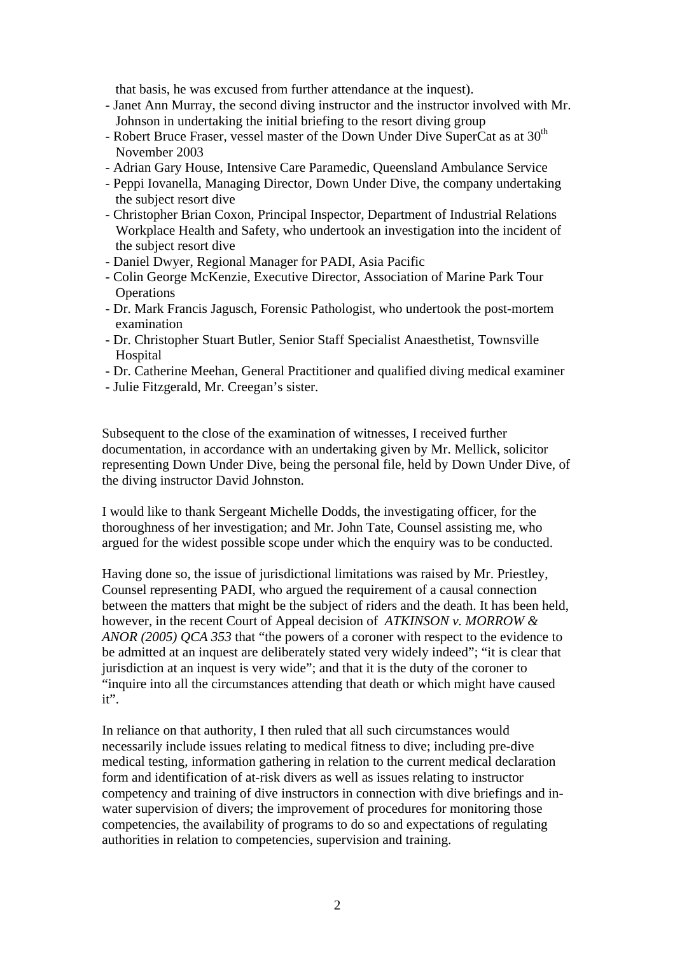that basis, he was excused from further attendance at the inquest).

- Janet Ann Murray, the second diving instructor and the instructor involved with Mr. Johnson in undertaking the initial briefing to the resort diving group
- Robert Bruce Fraser, vessel master of the Down Under Dive SuperCat as at  $30<sup>th</sup>$ November 2003
- Adrian Gary House, Intensive Care Paramedic, Queensland Ambulance Service
- Peppi Iovanella, Managing Director, Down Under Dive, the company undertaking the subject resort dive
- Christopher Brian Coxon, Principal Inspector, Department of Industrial Relations Workplace Health and Safety, who undertook an investigation into the incident of the subject resort dive
- Daniel Dwyer, Regional Manager for PADI, Asia Pacific
- Colin George McKenzie, Executive Director, Association of Marine Park Tour **Operations**
- Dr. Mark Francis Jagusch, Forensic Pathologist, who undertook the post-mortem examination
- Dr. Christopher Stuart Butler, Senior Staff Specialist Anaesthetist, Townsville **Hospital**
- Dr. Catherine Meehan, General Practitioner and qualified diving medical examiner
- Julie Fitzgerald, Mr. Creegan's sister.

Subsequent to the close of the examination of witnesses, I received further documentation, in accordance with an undertaking given by Mr. Mellick, solicitor representing Down Under Dive, being the personal file, held by Down Under Dive, of the diving instructor David Johnston.

I would like to thank Sergeant Michelle Dodds, the investigating officer, for the thoroughness of her investigation; and Mr. John Tate, Counsel assisting me, who argued for the widest possible scope under which the enquiry was to be conducted.

Having done so, the issue of jurisdictional limitations was raised by Mr. Priestley, Counsel representing PADI, who argued the requirement of a causal connection between the matters that might be the subject of riders and the death. It has been held, however, in the recent Court of Appeal decision of *ATKINSON v. MORROW & ANOR (2005) QCA 353* that "the powers of a coroner with respect to the evidence to be admitted at an inquest are deliberately stated very widely indeed"; "it is clear that jurisdiction at an inquest is very wide"; and that it is the duty of the coroner to "inquire into all the circumstances attending that death or which might have caused it".

In reliance on that authority, I then ruled that all such circumstances would necessarily include issues relating to medical fitness to dive; including pre-dive medical testing, information gathering in relation to the current medical declaration form and identification of at-risk divers as well as issues relating to instructor competency and training of dive instructors in connection with dive briefings and inwater supervision of divers; the improvement of procedures for monitoring those competencies, the availability of programs to do so and expectations of regulating authorities in relation to competencies, supervision and training.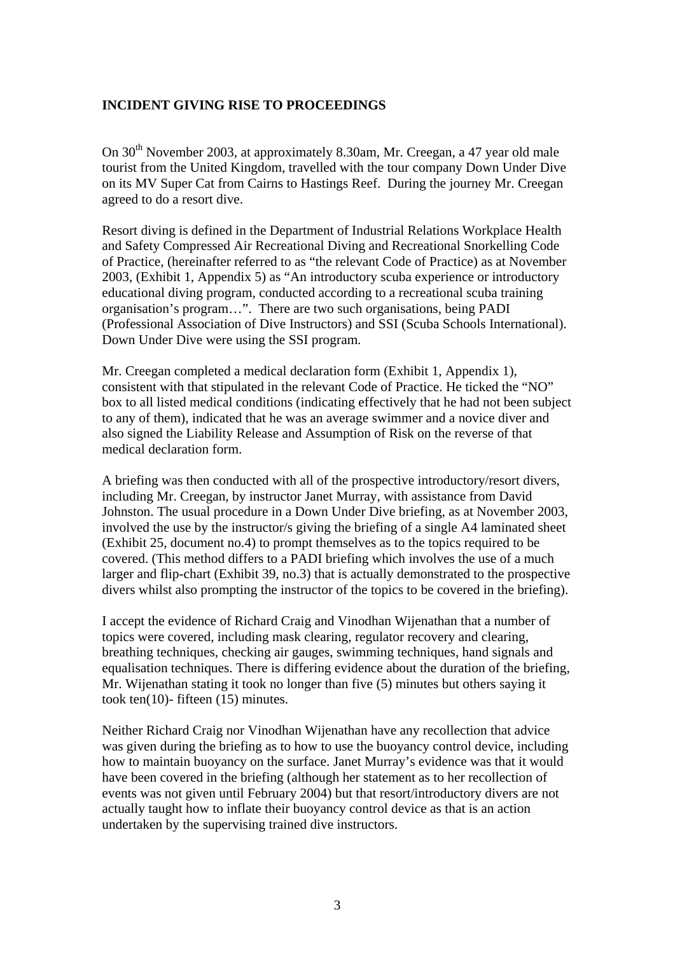### **INCIDENT GIVING RISE TO PROCEEDINGS**

On 30th November 2003, at approximately 8.30am, Mr. Creegan, a 47 year old male tourist from the United Kingdom, travelled with the tour company Down Under Dive on its MV Super Cat from Cairns to Hastings Reef. During the journey Mr. Creegan agreed to do a resort dive.

Resort diving is defined in the Department of Industrial Relations Workplace Health and Safety Compressed Air Recreational Diving and Recreational Snorkelling Code of Practice, (hereinafter referred to as "the relevant Code of Practice) as at November 2003, (Exhibit 1, Appendix 5) as "An introductory scuba experience or introductory educational diving program, conducted according to a recreational scuba training organisation's program…". There are two such organisations, being PADI (Professional Association of Dive Instructors) and SSI (Scuba Schools International). Down Under Dive were using the SSI program.

Mr. Creegan completed a medical declaration form (Exhibit 1, Appendix 1), consistent with that stipulated in the relevant Code of Practice. He ticked the "NO" box to all listed medical conditions (indicating effectively that he had not been subject to any of them)*,* indicated that he was an average swimmer and a novice diver and also signed the Liability Release and Assumption of Risk on the reverse of that medical declaration form.

A briefing was then conducted with all of the prospective introductory/resort divers, including Mr. Creegan, by instructor Janet Murray, with assistance from David Johnston. The usual procedure in a Down Under Dive briefing, as at November 2003, involved the use by the instructor/s giving the briefing of a single A4 laminated sheet (Exhibit 25, document no.4) to prompt themselves as to the topics required to be covered. (This method differs to a PADI briefing which involves the use of a much larger and flip-chart (Exhibit 39, no.3) that is actually demonstrated to the prospective divers whilst also prompting the instructor of the topics to be covered in the briefing).

I accept the evidence of Richard Craig and Vinodhan Wijenathan that a number of topics were covered, including mask clearing, regulator recovery and clearing, breathing techniques, checking air gauges, swimming techniques, hand signals and equalisation techniques. There is differing evidence about the duration of the briefing, Mr. Wijenathan stating it took no longer than five (5) minutes but others saying it took ten(10)- fifteen (15) minutes.

Neither Richard Craig nor Vinodhan Wijenathan have any recollection that advice was given during the briefing as to how to use the buoyancy control device, including how to maintain buoyancy on the surface. Janet Murray's evidence was that it would have been covered in the briefing (although her statement as to her recollection of events was not given until February 2004) but that resort/introductory divers are not actually taught how to inflate their buoyancy control device as that is an action undertaken by the supervising trained dive instructors.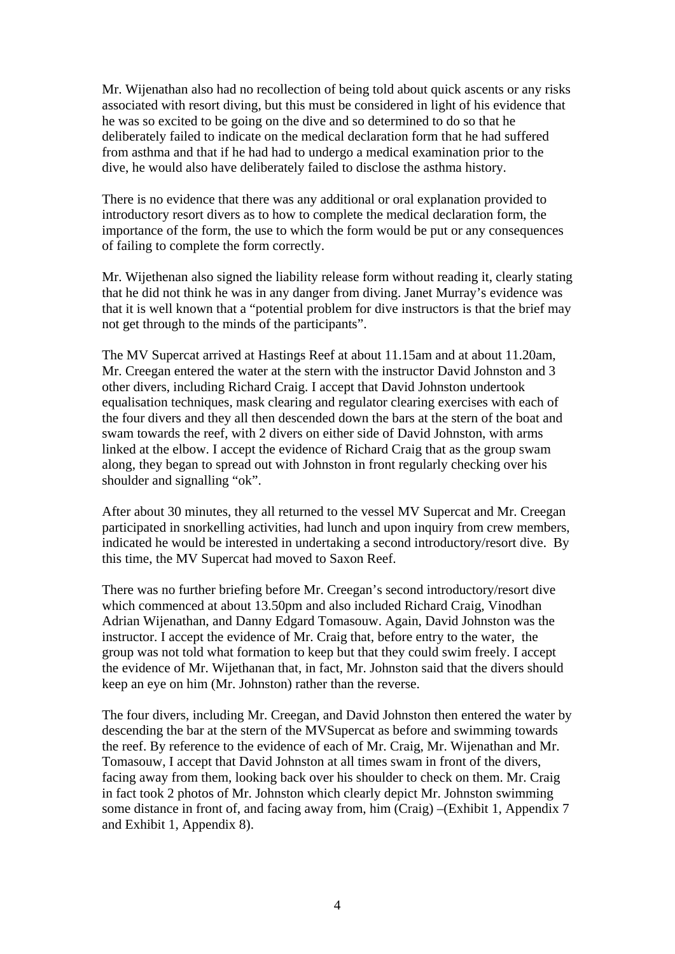Mr. Wijenathan also had no recollection of being told about quick ascents or any risks associated with resort diving, but this must be considered in light of his evidence that he was so excited to be going on the dive and so determined to do so that he deliberately failed to indicate on the medical declaration form that he had suffered from asthma and that if he had had to undergo a medical examination prior to the dive, he would also have deliberately failed to disclose the asthma history.

There is no evidence that there was any additional or oral explanation provided to introductory resort divers as to how to complete the medical declaration form, the importance of the form, the use to which the form would be put or any consequences of failing to complete the form correctly.

Mr. Wijethenan also signed the liability release form without reading it, clearly stating that he did not think he was in any danger from diving. Janet Murray's evidence was that it is well known that a "potential problem for dive instructors is that the brief may not get through to the minds of the participants".

The MV Supercat arrived at Hastings Reef at about 11.15am and at about 11.20am, Mr. Creegan entered the water at the stern with the instructor David Johnston and 3 other divers, including Richard Craig. I accept that David Johnston undertook equalisation techniques, mask clearing and regulator clearing exercises with each of the four divers and they all then descended down the bars at the stern of the boat and swam towards the reef, with 2 divers on either side of David Johnston, with arms linked at the elbow. I accept the evidence of Richard Craig that as the group swam along, they began to spread out with Johnston in front regularly checking over his shoulder and signalling "ok".

After about 30 minutes, they all returned to the vessel MV Supercat and Mr. Creegan participated in snorkelling activities, had lunch and upon inquiry from crew members, indicated he would be interested in undertaking a second introductory/resort dive. By this time, the MV Supercat had moved to Saxon Reef.

There was no further briefing before Mr. Creegan's second introductory/resort dive which commenced at about 13.50pm and also included Richard Craig, Vinodhan Adrian Wijenathan, and Danny Edgard Tomasouw. Again, David Johnston was the instructor. I accept the evidence of Mr. Craig that, before entry to the water, the group was not told what formation to keep but that they could swim freely. I accept the evidence of Mr. Wijethanan that, in fact, Mr. Johnston said that the divers should keep an eye on him (Mr. Johnston) rather than the reverse.

The four divers, including Mr. Creegan, and David Johnston then entered the water by descending the bar at the stern of the MVSupercat as before and swimming towards the reef. By reference to the evidence of each of Mr. Craig, Mr. Wijenathan and Mr. Tomasouw, I accept that David Johnston at all times swam in front of the divers, facing away from them, looking back over his shoulder to check on them. Mr. Craig in fact took 2 photos of Mr. Johnston which clearly depict Mr. Johnston swimming some distance in front of, and facing away from, him (Craig) –(Exhibit 1, Appendix 7 and Exhibit 1, Appendix 8).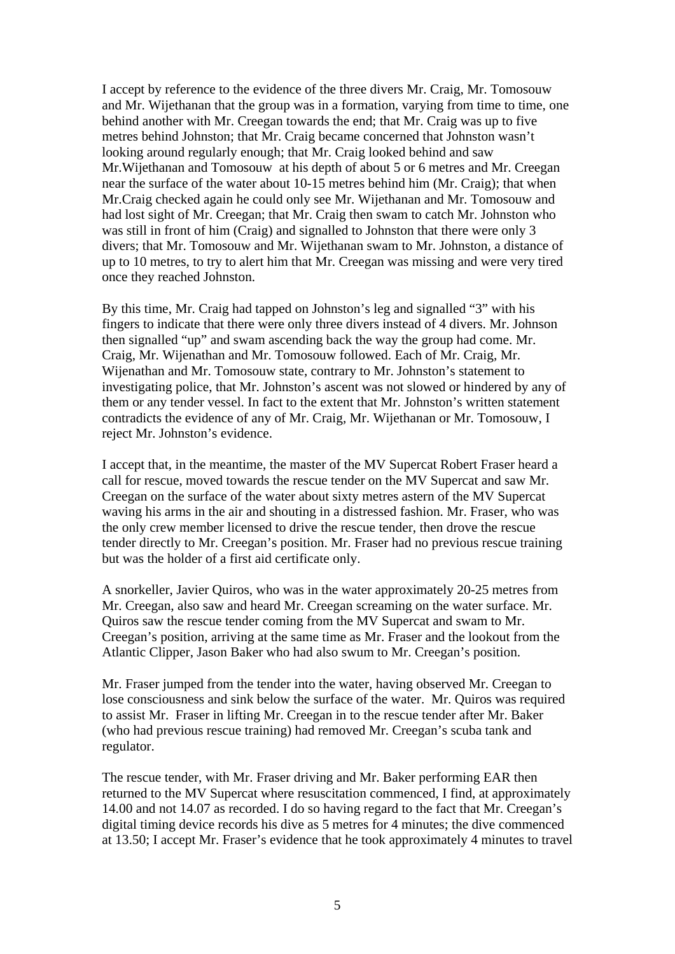I accept by reference to the evidence of the three divers Mr. Craig, Mr. Tomosouw and Mr. Wijethanan that the group was in a formation, varying from time to time, one behind another with Mr. Creegan towards the end; that Mr. Craig was up to five metres behind Johnston; that Mr. Craig became concerned that Johnston wasn't looking around regularly enough; that Mr. Craig looked behind and saw Mr.Wijethanan and Tomosouw at his depth of about 5 or 6 metres and Mr. Creegan near the surface of the water about 10-15 metres behind him (Mr. Craig); that when Mr.Craig checked again he could only see Mr. Wijethanan and Mr. Tomosouw and had lost sight of Mr. Creegan; that Mr. Craig then swam to catch Mr. Johnston who was still in front of him (Craig) and signalled to Johnston that there were only 3 divers; that Mr. Tomosouw and Mr. Wijethanan swam to Mr. Johnston, a distance of up to 10 metres, to try to alert him that Mr. Creegan was missing and were very tired once they reached Johnston.

By this time, Mr. Craig had tapped on Johnston's leg and signalled "3" with his fingers to indicate that there were only three divers instead of 4 divers. Mr. Johnson then signalled "up" and swam ascending back the way the group had come. Mr. Craig, Mr. Wijenathan and Mr. Tomosouw followed. Each of Mr. Craig, Mr. Wijenathan and Mr. Tomosouw state, contrary to Mr. Johnston's statement to investigating police, that Mr. Johnston's ascent was not slowed or hindered by any of them or any tender vessel. In fact to the extent that Mr. Johnston's written statement contradicts the evidence of any of Mr. Craig, Mr. Wijethanan or Mr. Tomosouw, I reject Mr. Johnston's evidence.

I accept that, in the meantime, the master of the MV Supercat Robert Fraser heard a call for rescue, moved towards the rescue tender on the MV Supercat and saw Mr. Creegan on the surface of the water about sixty metres astern of the MV Supercat waving his arms in the air and shouting in a distressed fashion. Mr. Fraser, who was the only crew member licensed to drive the rescue tender, then drove the rescue tender directly to Mr. Creegan's position. Mr. Fraser had no previous rescue training but was the holder of a first aid certificate only.

A snorkeller, Javier Quiros, who was in the water approximately 20-25 metres from Mr. Creegan, also saw and heard Mr. Creegan screaming on the water surface. Mr. Quiros saw the rescue tender coming from the MV Supercat and swam to Mr. Creegan's position, arriving at the same time as Mr. Fraser and the lookout from the Atlantic Clipper, Jason Baker who had also swum to Mr. Creegan's position.

Mr. Fraser jumped from the tender into the water, having observed Mr. Creegan to lose consciousness and sink below the surface of the water. Mr. Quiros was required to assist Mr. Fraser in lifting Mr. Creegan in to the rescue tender after Mr. Baker (who had previous rescue training) had removed Mr. Creegan's scuba tank and regulator.

The rescue tender, with Mr. Fraser driving and Mr. Baker performing EAR then returned to the MV Supercat where resuscitation commenced, I find, at approximately 14.00 and not 14.07 as recorded. I do so having regard to the fact that Mr. Creegan's digital timing device records his dive as 5 metres for 4 minutes; the dive commenced at 13.50; I accept Mr. Fraser's evidence that he took approximately 4 minutes to travel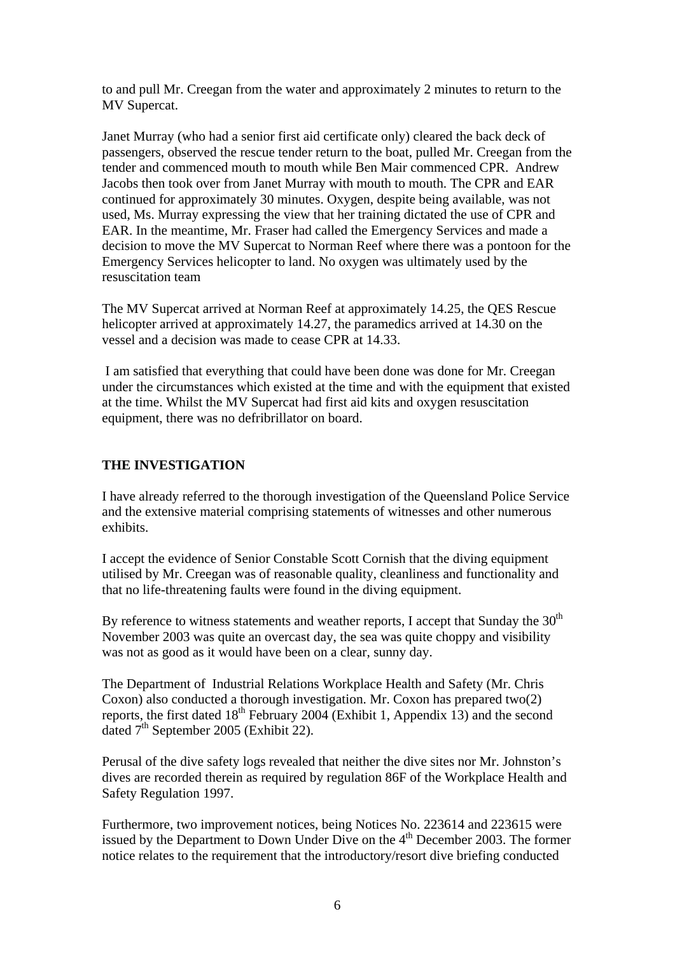to and pull Mr. Creegan from the water and approximately 2 minutes to return to the MV Supercat.

Janet Murray (who had a senior first aid certificate only) cleared the back deck of passengers, observed the rescue tender return to the boat, pulled Mr. Creegan from the tender and commenced mouth to mouth while Ben Mair commenced CPR. Andrew Jacobs then took over from Janet Murray with mouth to mouth. The CPR and EAR continued for approximately 30 minutes. Oxygen, despite being available, was not used, Ms. Murray expressing the view that her training dictated the use of CPR and EAR. In the meantime, Mr. Fraser had called the Emergency Services and made a decision to move the MV Supercat to Norman Reef where there was a pontoon for the Emergency Services helicopter to land. No oxygen was ultimately used by the resuscitation team

The MV Supercat arrived at Norman Reef at approximately 14.25, the QES Rescue helicopter arrived at approximately 14.27, the paramedics arrived at 14.30 on the vessel and a decision was made to cease CPR at 14.33.

 I am satisfied that everything that could have been done was done for Mr. Creegan under the circumstances which existed at the time and with the equipment that existed at the time. Whilst the MV Supercat had first aid kits and oxygen resuscitation equipment, there was no defribrillator on board.

## **THE INVESTIGATION**

I have already referred to the thorough investigation of the Queensland Police Service and the extensive material comprising statements of witnesses and other numerous exhibits.

I accept the evidence of Senior Constable Scott Cornish that the diving equipment utilised by Mr. Creegan was of reasonable quality, cleanliness and functionality and that no life-threatening faults were found in the diving equipment.

By reference to witness statements and weather reports, I accept that Sunday the  $30<sup>th</sup>$ November 2003 was quite an overcast day, the sea was quite choppy and visibility was not as good as it would have been on a clear, sunny day.

The Department of Industrial Relations Workplace Health and Safety (Mr. Chris Coxon) also conducted a thorough investigation. Mr. Coxon has prepared two(2) reports, the first dated  $18<sup>th</sup>$  February 2004 (Exhibit 1, Appendix 13) and the second dated  $7<sup>th</sup>$  September 2005 (Exhibit 22).

Perusal of the dive safety logs revealed that neither the dive sites nor Mr. Johnston's dives are recorded therein as required by regulation 86F of the Workplace Health and Safety Regulation 1997.

Furthermore, two improvement notices, being Notices No. 223614 and 223615 were issued by the Department to Down Under Dive on the  $4<sup>th</sup>$  December 2003. The former notice relates to the requirement that the introductory/resort dive briefing conducted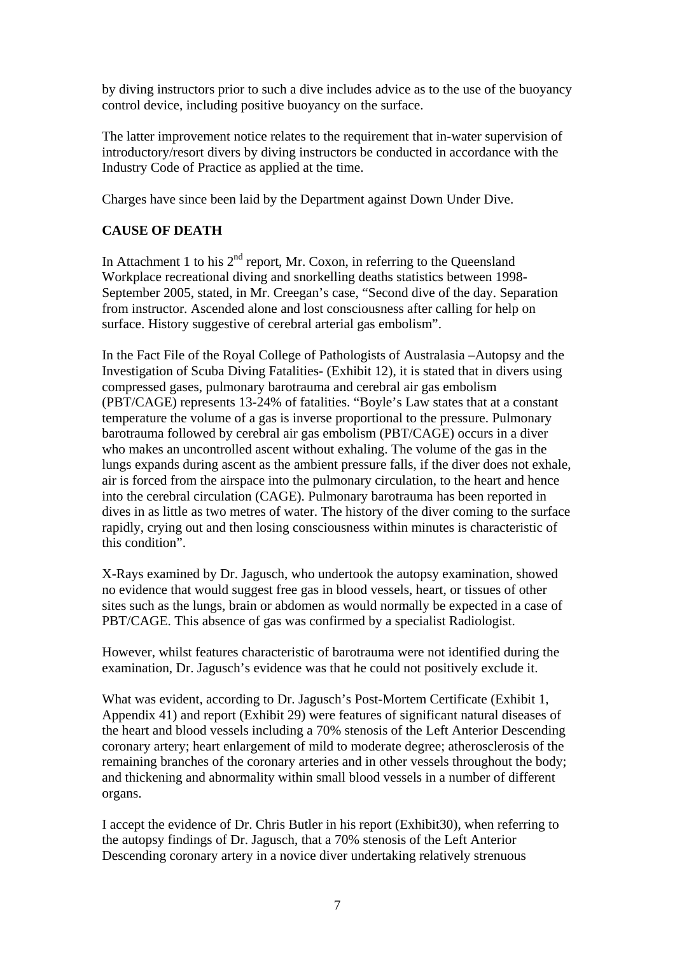by diving instructors prior to such a dive includes advice as to the use of the buoyancy control device, including positive buoyancy on the surface.

The latter improvement notice relates to the requirement that in-water supervision of introductory/resort divers by diving instructors be conducted in accordance with the Industry Code of Practice as applied at the time.

Charges have since been laid by the Department against Down Under Dive.

# **CAUSE OF DEATH**

In Attachment 1 to his  $2<sup>nd</sup>$  report, Mr. Coxon, in referring to the Queensland Workplace recreational diving and snorkelling deaths statistics between 1998- September 2005, stated, in Mr. Creegan's case, "Second dive of the day. Separation from instructor. Ascended alone and lost consciousness after calling for help on surface. History suggestive of cerebral arterial gas embolism".

In the Fact File of the Royal College of Pathologists of Australasia –Autopsy and the Investigation of Scuba Diving Fatalities- (Exhibit 12), it is stated that in divers using compressed gases, pulmonary barotrauma and cerebral air gas embolism (PBT/CAGE) represents 13-24% of fatalities. "Boyle's Law states that at a constant temperature the volume of a gas is inverse proportional to the pressure. Pulmonary barotrauma followed by cerebral air gas embolism (PBT/CAGE) occurs in a diver who makes an uncontrolled ascent without exhaling. The volume of the gas in the lungs expands during ascent as the ambient pressure falls, if the diver does not exhale, air is forced from the airspace into the pulmonary circulation, to the heart and hence into the cerebral circulation (CAGE). Pulmonary barotrauma has been reported in dives in as little as two metres of water. The history of the diver coming to the surface rapidly, crying out and then losing consciousness within minutes is characteristic of this condition".

X-Rays examined by Dr. Jagusch, who undertook the autopsy examination, showed no evidence that would suggest free gas in blood vessels, heart, or tissues of other sites such as the lungs, brain or abdomen as would normally be expected in a case of PBT/CAGE. This absence of gas was confirmed by a specialist Radiologist.

However, whilst features characteristic of barotrauma were not identified during the examination, Dr. Jagusch's evidence was that he could not positively exclude it.

What was evident, according to Dr. Jagusch's Post-Mortem Certificate (Exhibit 1, Appendix 41) and report (Exhibit 29) were features of significant natural diseases of the heart and blood vessels including a 70% stenosis of the Left Anterior Descending coronary artery; heart enlargement of mild to moderate degree; atherosclerosis of the remaining branches of the coronary arteries and in other vessels throughout the body; and thickening and abnormality within small blood vessels in a number of different organs.

I accept the evidence of Dr. Chris Butler in his report (Exhibit30), when referring to the autopsy findings of Dr. Jagusch, that a 70% stenosis of the Left Anterior Descending coronary artery in a novice diver undertaking relatively strenuous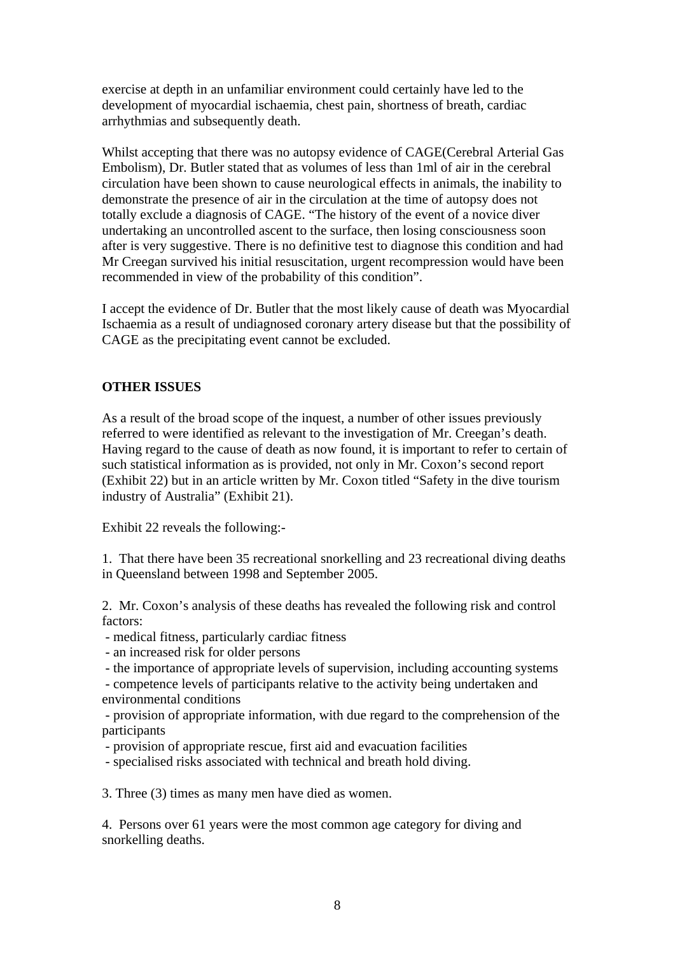exercise at depth in an unfamiliar environment could certainly have led to the development of myocardial ischaemia, chest pain, shortness of breath, cardiac arrhythmias and subsequently death.

Whilst accepting that there was no autopsy evidence of CAGE(Cerebral Arterial Gas Embolism), Dr. Butler stated that as volumes of less than 1ml of air in the cerebral circulation have been shown to cause neurological effects in animals, the inability to demonstrate the presence of air in the circulation at the time of autopsy does not totally exclude a diagnosis of CAGE. "The history of the event of a novice diver undertaking an uncontrolled ascent to the surface, then losing consciousness soon after is very suggestive. There is no definitive test to diagnose this condition and had Mr Creegan survived his initial resuscitation, urgent recompression would have been recommended in view of the probability of this condition".

I accept the evidence of Dr. Butler that the most likely cause of death was Myocardial Ischaemia as a result of undiagnosed coronary artery disease but that the possibility of CAGE as the precipitating event cannot be excluded.

## **OTHER ISSUES**

As a result of the broad scope of the inquest, a number of other issues previously referred to were identified as relevant to the investigation of Mr. Creegan's death. Having regard to the cause of death as now found, it is important to refer to certain of such statistical information as is provided, not only in Mr. Coxon's second report (Exhibit 22) but in an article written by Mr. Coxon titled "Safety in the dive tourism industry of Australia" (Exhibit 21).

Exhibit 22 reveals the following:-

1. That there have been 35 recreational snorkelling and 23 recreational diving deaths in Queensland between 1998 and September 2005.

2. Mr. Coxon's analysis of these deaths has revealed the following risk and control factors:

- medical fitness, particularly cardiac fitness

- an increased risk for older persons

- the importance of appropriate levels of supervision, including accounting systems

 - competence levels of participants relative to the activity being undertaken and environmental conditions

 - provision of appropriate information, with due regard to the comprehension of the participants

- provision of appropriate rescue, first aid and evacuation facilities

- specialised risks associated with technical and breath hold diving.

3. Three (3) times as many men have died as women.

4. Persons over 61 years were the most common age category for diving and snorkelling deaths.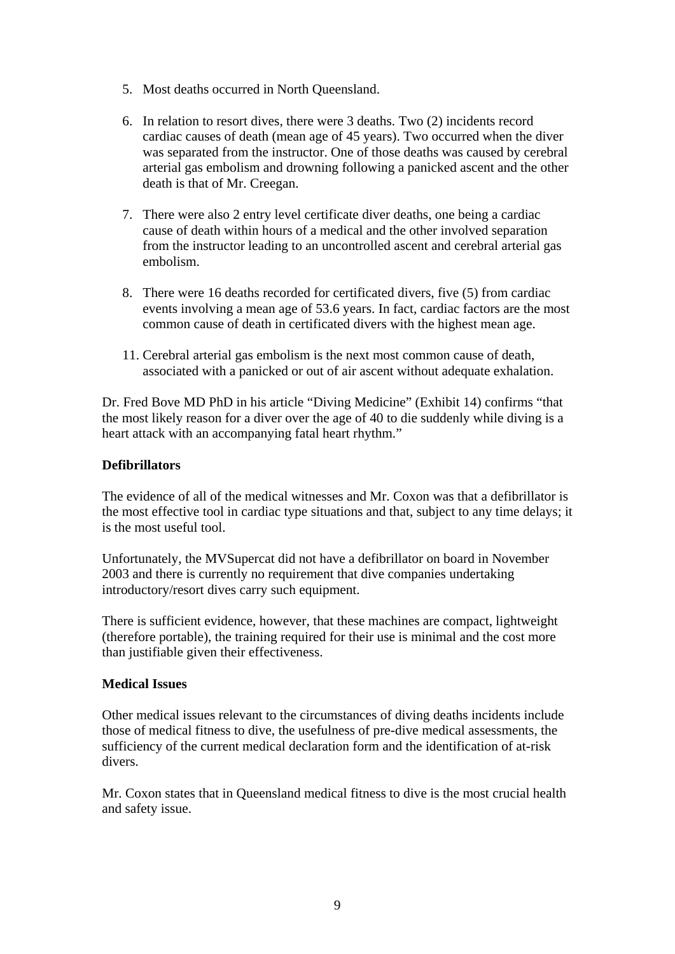- 5. Most deaths occurred in North Queensland.
- 6. In relation to resort dives, there were 3 deaths. Two (2) incidents record cardiac causes of death (mean age of 45 years). Two occurred when the diver was separated from the instructor. One of those deaths was caused by cerebral arterial gas embolism and drowning following a panicked ascent and the other death is that of Mr. Creegan.
- 7. There were also 2 entry level certificate diver deaths, one being a cardiac cause of death within hours of a medical and the other involved separation from the instructor leading to an uncontrolled ascent and cerebral arterial gas embolism.
- 8. There were 16 deaths recorded for certificated divers, five (5) from cardiac events involving a mean age of 53.6 years. In fact, cardiac factors are the most common cause of death in certificated divers with the highest mean age.
- 11. Cerebral arterial gas embolism is the next most common cause of death, associated with a panicked or out of air ascent without adequate exhalation.

Dr. Fred Bove MD PhD in his article "Diving Medicine" (Exhibit 14) confirms "that the most likely reason for a diver over the age of 40 to die suddenly while diving is a heart attack with an accompanying fatal heart rhythm."

# **Defibrillators**

The evidence of all of the medical witnesses and Mr. Coxon was that a defibrillator is the most effective tool in cardiac type situations and that, subject to any time delays; it is the most useful tool.

Unfortunately, the MVSupercat did not have a defibrillator on board in November 2003 and there is currently no requirement that dive companies undertaking introductory/resort dives carry such equipment.

There is sufficient evidence, however, that these machines are compact, lightweight (therefore portable), the training required for their use is minimal and the cost more than justifiable given their effectiveness.

#### **Medical Issues**

Other medical issues relevant to the circumstances of diving deaths incidents include those of medical fitness to dive, the usefulness of pre-dive medical assessments, the sufficiency of the current medical declaration form and the identification of at-risk divers.

Mr. Coxon states that in Queensland medical fitness to dive is the most crucial health and safety issue.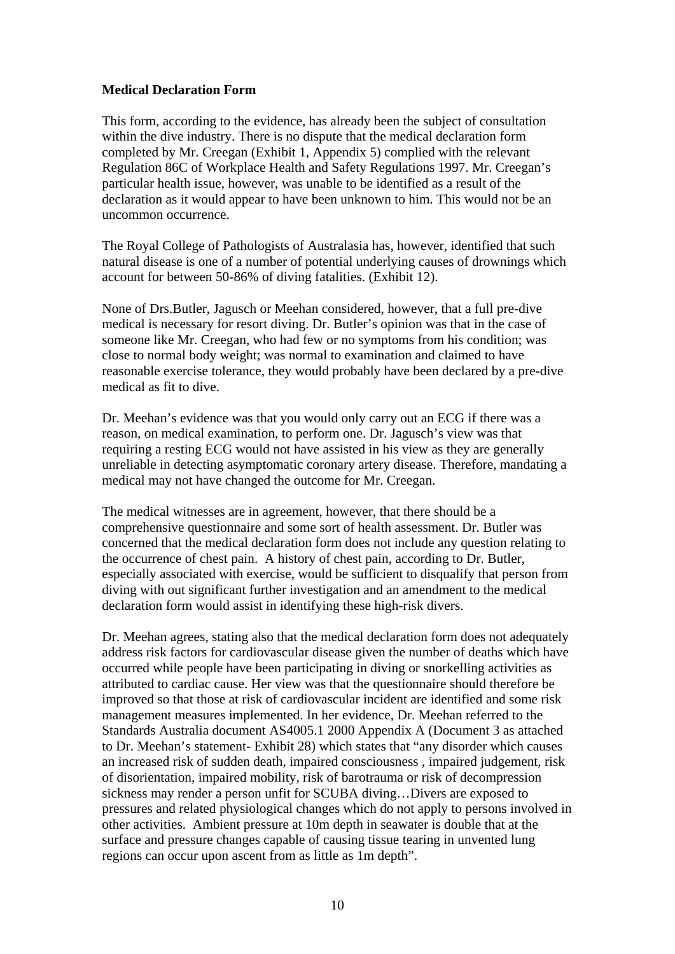### **Medical Declaration Form**

This form, according to the evidence, has already been the subject of consultation within the dive industry. There is no dispute that the medical declaration form completed by Mr. Creegan (Exhibit 1, Appendix 5) complied with the relevant Regulation 86C of Workplace Health and Safety Regulations 1997. Mr. Creegan's particular health issue, however, was unable to be identified as a result of the declaration as it would appear to have been unknown to him. This would not be an uncommon occurrence.

The Royal College of Pathologists of Australasia has, however, identified that such natural disease is one of a number of potential underlying causes of drownings which account for between 50-86% of diving fatalities. (Exhibit 12).

None of Drs.Butler, Jagusch or Meehan considered, however, that a full pre-dive medical is necessary for resort diving. Dr. Butler's opinion was that in the case of someone like Mr. Creegan, who had few or no symptoms from his condition; was close to normal body weight; was normal to examination and claimed to have reasonable exercise tolerance, they would probably have been declared by a pre-dive medical as fit to dive.

Dr. Meehan's evidence was that you would only carry out an ECG if there was a reason, on medical examination, to perform one. Dr. Jagusch's view was that requiring a resting ECG would not have assisted in his view as they are generally unreliable in detecting asymptomatic coronary artery disease. Therefore, mandating a medical may not have changed the outcome for Mr. Creegan.

The medical witnesses are in agreement, however, that there should be a comprehensive questionnaire and some sort of health assessment. Dr. Butler was concerned that the medical declaration form does not include any question relating to the occurrence of chest pain. A history of chest pain, according to Dr. Butler, especially associated with exercise, would be sufficient to disqualify that person from diving with out significant further investigation and an amendment to the medical declaration form would assist in identifying these high-risk divers.

Dr. Meehan agrees, stating also that the medical declaration form does not adequately address risk factors for cardiovascular disease given the number of deaths which have occurred while people have been participating in diving or snorkelling activities as attributed to cardiac cause. Her view was that the questionnaire should therefore be improved so that those at risk of cardiovascular incident are identified and some risk management measures implemented. In her evidence, Dr. Meehan referred to the Standards Australia document AS4005.1 2000 Appendix A (Document 3 as attached to Dr. Meehan's statement- Exhibit 28) which states that "any disorder which causes an increased risk of sudden death, impaired consciousness , impaired judgement, risk of disorientation, impaired mobility, risk of barotrauma or risk of decompression sickness may render a person unfit for SCUBA diving…Divers are exposed to pressures and related physiological changes which do not apply to persons involved in other activities. Ambient pressure at 10m depth in seawater is double that at the surface and pressure changes capable of causing tissue tearing in unvented lung regions can occur upon ascent from as little as 1m depth".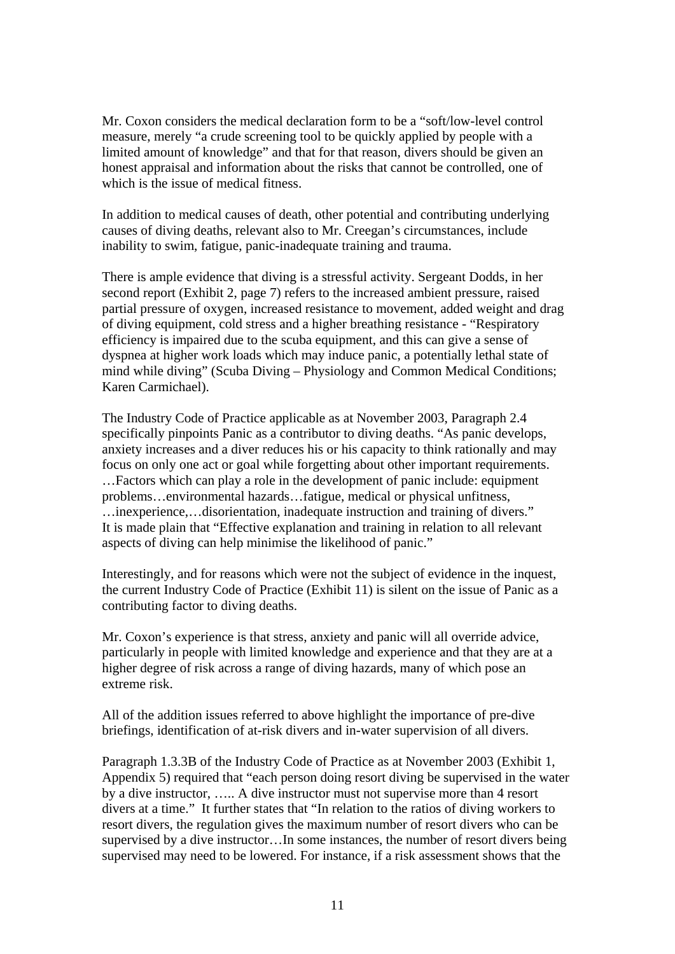Mr. Coxon considers the medical declaration form to be a "soft/low-level control measure, merely "a crude screening tool to be quickly applied by people with a limited amount of knowledge" and that for that reason, divers should be given an honest appraisal and information about the risks that cannot be controlled, one of which is the issue of medical fitness.

In addition to medical causes of death, other potential and contributing underlying causes of diving deaths, relevant also to Mr. Creegan's circumstances, include inability to swim, fatigue, panic-inadequate training and trauma.

There is ample evidence that diving is a stressful activity. Sergeant Dodds, in her second report (Exhibit 2, page 7) refers to the increased ambient pressure, raised partial pressure of oxygen, increased resistance to movement, added weight and drag of diving equipment, cold stress and a higher breathing resistance - "Respiratory efficiency is impaired due to the scuba equipment, and this can give a sense of dyspnea at higher work loads which may induce panic, a potentially lethal state of mind while diving" (Scuba Diving – Physiology and Common Medical Conditions; Karen Carmichael).

The Industry Code of Practice applicable as at November 2003, Paragraph 2.4 specifically pinpoints Panic as a contributor to diving deaths. "As panic develops, anxiety increases and a diver reduces his or his capacity to think rationally and may focus on only one act or goal while forgetting about other important requirements. …Factors which can play a role in the development of panic include: equipment problems…environmental hazards…fatigue, medical or physical unfitness, …inexperience,…disorientation, inadequate instruction and training of divers." It is made plain that "Effective explanation and training in relation to all relevant aspects of diving can help minimise the likelihood of panic."

Interestingly, and for reasons which were not the subject of evidence in the inquest, the current Industry Code of Practice (Exhibit 11) is silent on the issue of Panic as a contributing factor to diving deaths.

Mr. Coxon's experience is that stress, anxiety and panic will all override advice, particularly in people with limited knowledge and experience and that they are at a higher degree of risk across a range of diving hazards, many of which pose an extreme risk.

All of the addition issues referred to above highlight the importance of pre-dive briefings, identification of at-risk divers and in-water supervision of all divers.

Paragraph 1.3.3B of the Industry Code of Practice as at November 2003 (Exhibit 1, Appendix 5) required that "each person doing resort diving be supervised in the water by a dive instructor, ….. A dive instructor must not supervise more than 4 resort divers at a time." It further states that "In relation to the ratios of diving workers to resort divers, the regulation gives the maximum number of resort divers who can be supervised by a dive instructor…In some instances, the number of resort divers being supervised may need to be lowered. For instance, if a risk assessment shows that the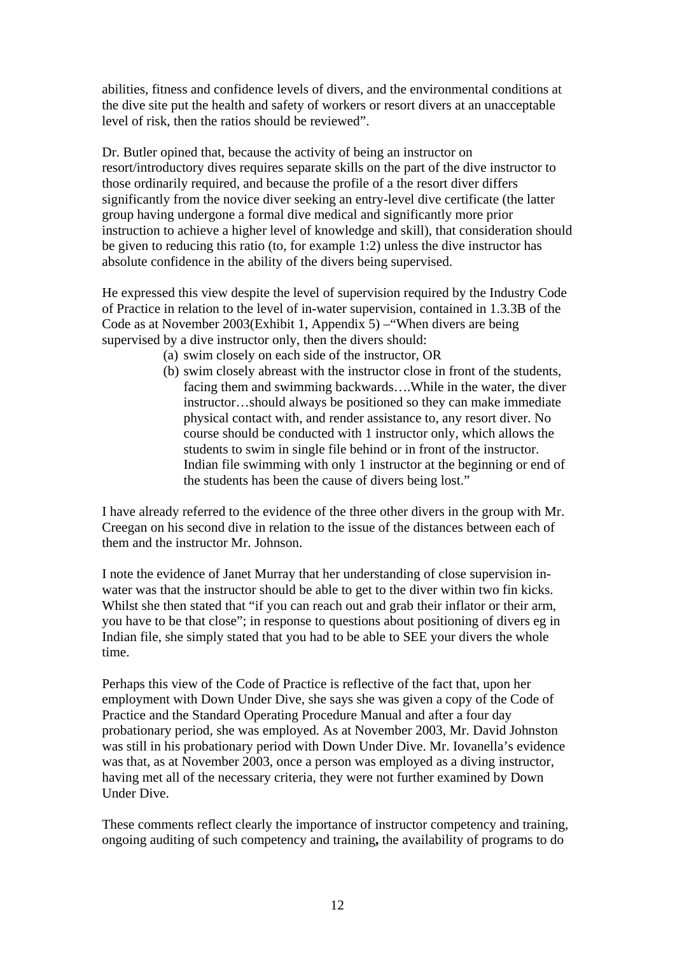abilities, fitness and confidence levels of divers, and the environmental conditions at the dive site put the health and safety of workers or resort divers at an unacceptable level of risk, then the ratios should be reviewed".

Dr. Butler opined that, because the activity of being an instructor on resort/introductory dives requires separate skills on the part of the dive instructor to those ordinarily required, and because the profile of a the resort diver differs significantly from the novice diver seeking an entry-level dive certificate (the latter group having undergone a formal dive medical and significantly more prior instruction to achieve a higher level of knowledge and skill), that consideration should be given to reducing this ratio (to, for example 1:2) unless the dive instructor has absolute confidence in the ability of the divers being supervised.

He expressed this view despite the level of supervision required by the Industry Code of Practice in relation to the level of in-water supervision, contained in 1.3.3B of the Code as at November 2003(Exhibit 1, Appendix 5) –"When divers are being supervised by a dive instructor only, then the divers should:

- (a) swim closely on each side of the instructor, OR
- (b) swim closely abreast with the instructor close in front of the students, facing them and swimming backwards….While in the water, the diver instructor…should always be positioned so they can make immediate physical contact with, and render assistance to, any resort diver. No course should be conducted with 1 instructor only, which allows the students to swim in single file behind or in front of the instructor. Indian file swimming with only 1 instructor at the beginning or end of the students has been the cause of divers being lost."

I have already referred to the evidence of the three other divers in the group with Mr. Creegan on his second dive in relation to the issue of the distances between each of them and the instructor Mr. Johnson.

I note the evidence of Janet Murray that her understanding of close supervision inwater was that the instructor should be able to get to the diver within two fin kicks. Whilst she then stated that "if you can reach out and grab their inflator or their arm, you have to be that close"; in response to questions about positioning of divers eg in Indian file, she simply stated that you had to be able to SEE your divers the whole time.

Perhaps this view of the Code of Practice is reflective of the fact that, upon her employment with Down Under Dive, she says she was given a copy of the Code of Practice and the Standard Operating Procedure Manual and after a four day probationary period, she was employed. As at November 2003, Mr. David Johnston was still in his probationary period with Down Under Dive. Mr. Iovanella's evidence was that, as at November 2003, once a person was employed as a diving instructor, having met all of the necessary criteria, they were not further examined by Down Under Dive.

These comments reflect clearly the importance of instructor competency and training, ongoing auditing of such competency and training**,** the availability of programs to do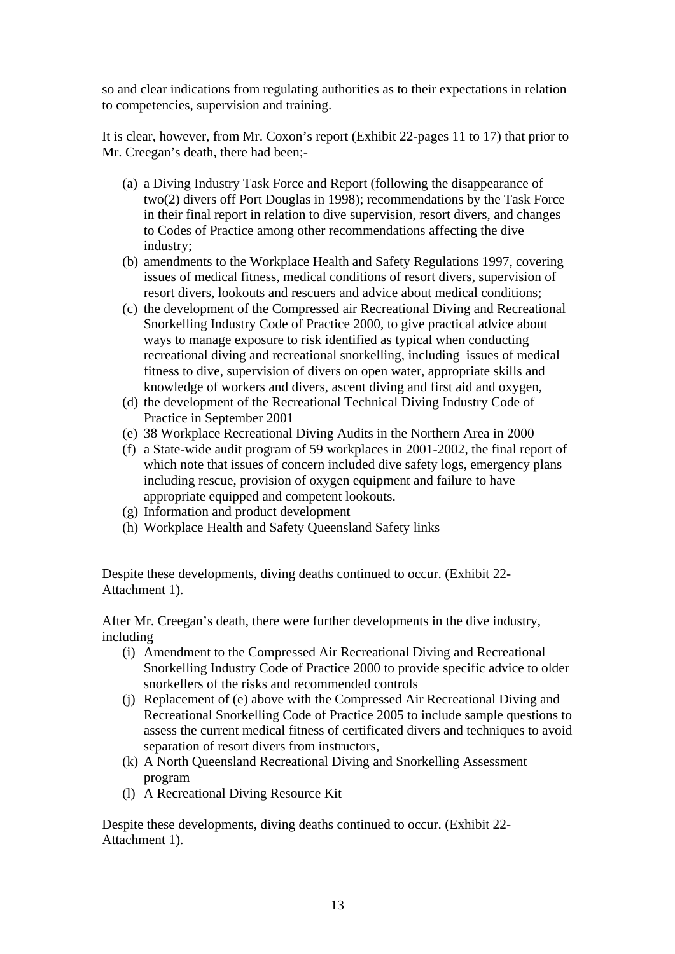so and clear indications from regulating authorities as to their expectations in relation to competencies, supervision and training.

It is clear, however, from Mr. Coxon's report (Exhibit 22-pages 11 to 17) that prior to Mr. Creegan's death, there had been;-

- (a) a Diving Industry Task Force and Report (following the disappearance of two(2) divers off Port Douglas in 1998); recommendations by the Task Force in their final report in relation to dive supervision, resort divers, and changes to Codes of Practice among other recommendations affecting the dive industry;
- (b) amendments to the Workplace Health and Safety Regulations 1997, covering issues of medical fitness, medical conditions of resort divers, supervision of resort divers, lookouts and rescuers and advice about medical conditions;
- (c) the development of the Compressed air Recreational Diving and Recreational Snorkelling Industry Code of Practice 2000, to give practical advice about ways to manage exposure to risk identified as typical when conducting recreational diving and recreational snorkelling, including issues of medical fitness to dive, supervision of divers on open water, appropriate skills and knowledge of workers and divers, ascent diving and first aid and oxygen,
- (d) the development of the Recreational Technical Diving Industry Code of Practice in September 2001
- (e) 38 Workplace Recreational Diving Audits in the Northern Area in 2000
- (f) a State-wide audit program of 59 workplaces in 2001-2002, the final report of which note that issues of concern included dive safety logs, emergency plans including rescue, provision of oxygen equipment and failure to have appropriate equipped and competent lookouts.
- (g) Information and product development
- (h) Workplace Health and Safety Queensland Safety links

Despite these developments, diving deaths continued to occur. (Exhibit 22- Attachment 1).

After Mr. Creegan's death, there were further developments in the dive industry, including

- (i) Amendment to the Compressed Air Recreational Diving and Recreational Snorkelling Industry Code of Practice 2000 to provide specific advice to older snorkellers of the risks and recommended controls
- (j) Replacement of (e) above with the Compressed Air Recreational Diving and Recreational Snorkelling Code of Practice 2005 to include sample questions to assess the current medical fitness of certificated divers and techniques to avoid separation of resort divers from instructors,
- (k) A North Queensland Recreational Diving and Snorkelling Assessment program
- (l) A Recreational Diving Resource Kit

Despite these developments, diving deaths continued to occur. (Exhibit 22- Attachment 1).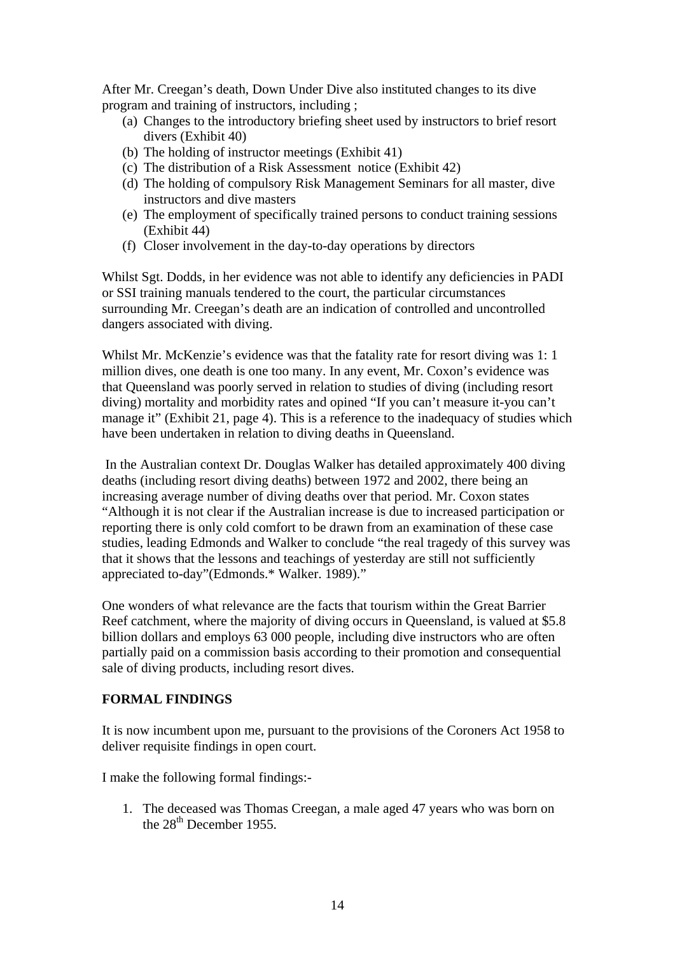After Mr. Creegan's death, Down Under Dive also instituted changes to its dive program and training of instructors, including ;

- (a) Changes to the introductory briefing sheet used by instructors to brief resort divers (Exhibit 40)
- (b) The holding of instructor meetings (Exhibit 41)
- (c) The distribution of a Risk Assessment notice (Exhibit 42)
- (d) The holding of compulsory Risk Management Seminars for all master, dive instructors and dive masters
- (e) The employment of specifically trained persons to conduct training sessions (Exhibit 44)
- (f) Closer involvement in the day-to-day operations by directors

Whilst Sgt. Dodds, in her evidence was not able to identify any deficiencies in PADI or SSI training manuals tendered to the court, the particular circumstances surrounding Mr. Creegan's death are an indication of controlled and uncontrolled dangers associated with diving.

Whilst Mr. McKenzie's evidence was that the fatality rate for resort diving was 1:1 million dives, one death is one too many. In any event, Mr. Coxon's evidence was that Queensland was poorly served in relation to studies of diving (including resort diving) mortality and morbidity rates and opined "If you can't measure it-you can't manage it" (Exhibit 21, page 4). This is a reference to the inadequacy of studies which have been undertaken in relation to diving deaths in Queensland.

 In the Australian context Dr. Douglas Walker has detailed approximately 400 diving deaths (including resort diving deaths) between 1972 and 2002, there being an increasing average number of diving deaths over that period. Mr. Coxon states "Although it is not clear if the Australian increase is due to increased participation or reporting there is only cold comfort to be drawn from an examination of these case studies, leading Edmonds and Walker to conclude "the real tragedy of this survey was that it shows that the lessons and teachings of yesterday are still not sufficiently appreciated to-day"(Edmonds.\* Walker. 1989)."

One wonders of what relevance are the facts that tourism within the Great Barrier Reef catchment, where the majority of diving occurs in Queensland, is valued at \$5.8 billion dollars and employs 63 000 people, including dive instructors who are often partially paid on a commission basis according to their promotion and consequential sale of diving products, including resort dives.

# **FORMAL FINDINGS**

It is now incumbent upon me, pursuant to the provisions of the Coroners Act 1958 to deliver requisite findings in open court.

I make the following formal findings:-

1. The deceased was Thomas Creegan, a male aged 47 years who was born on the 28<sup>th</sup> December 1955.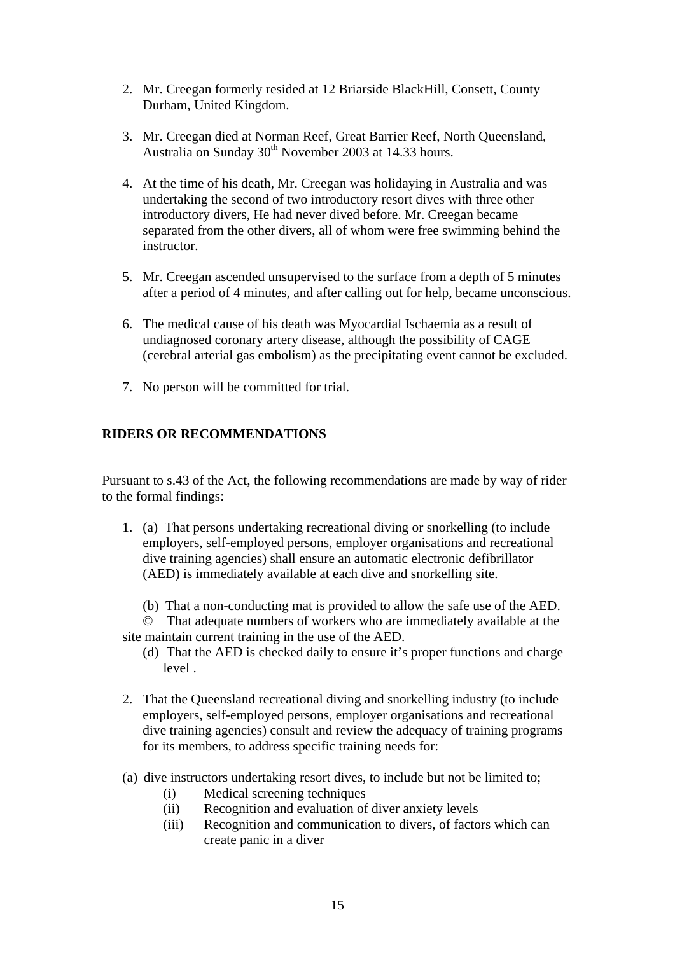- 2. Mr. Creegan formerly resided at 12 Briarside BlackHill, Consett, County Durham, United Kingdom.
- 3. Mr. Creegan died at Norman Reef, Great Barrier Reef, North Queensland, Australia on Sunday  $30<sup>th</sup>$  November 2003 at 14.33 hours.
- 4. At the time of his death, Mr. Creegan was holidaying in Australia and was undertaking the second of two introductory resort dives with three other introductory divers, He had never dived before. Mr. Creegan became separated from the other divers, all of whom were free swimming behind the instructor.
- 5. Mr. Creegan ascended unsupervised to the surface from a depth of 5 minutes after a period of 4 minutes, and after calling out for help, became unconscious.
- 6. The medical cause of his death was Myocardial Ischaemia as a result of undiagnosed coronary artery disease, although the possibility of CAGE (cerebral arterial gas embolism) as the precipitating event cannot be excluded.
- 7. No person will be committed for trial.

# **RIDERS OR RECOMMENDATIONS**

Pursuant to s.43 of the Act, the following recommendations are made by way of rider to the formal findings:

- 1. (a) That persons undertaking recreational diving or snorkelling (to include employers, self-employed persons, employer organisations and recreational dive training agencies) shall ensure an automatic electronic defibrillator (AED) is immediately available at each dive and snorkelling site.
	- (b) That a non-conducting mat is provided to allow the safe use of the AED.
- © That adequate numbers of workers who are immediately available at the site maintain current training in the use of the AED.
	- (d) That the AED is checked daily to ensure it's proper functions and charge level .
- 2. That the Queensland recreational diving and snorkelling industry (to include employers, self-employed persons, employer organisations and recreational dive training agencies) consult and review the adequacy of training programs for its members, to address specific training needs for:
- (a) dive instructors undertaking resort dives, to include but not be limited to;
	- (i) Medical screening techniques
	- (ii) Recognition and evaluation of diver anxiety levels
	- (iii) Recognition and communication to divers, of factors which can create panic in a diver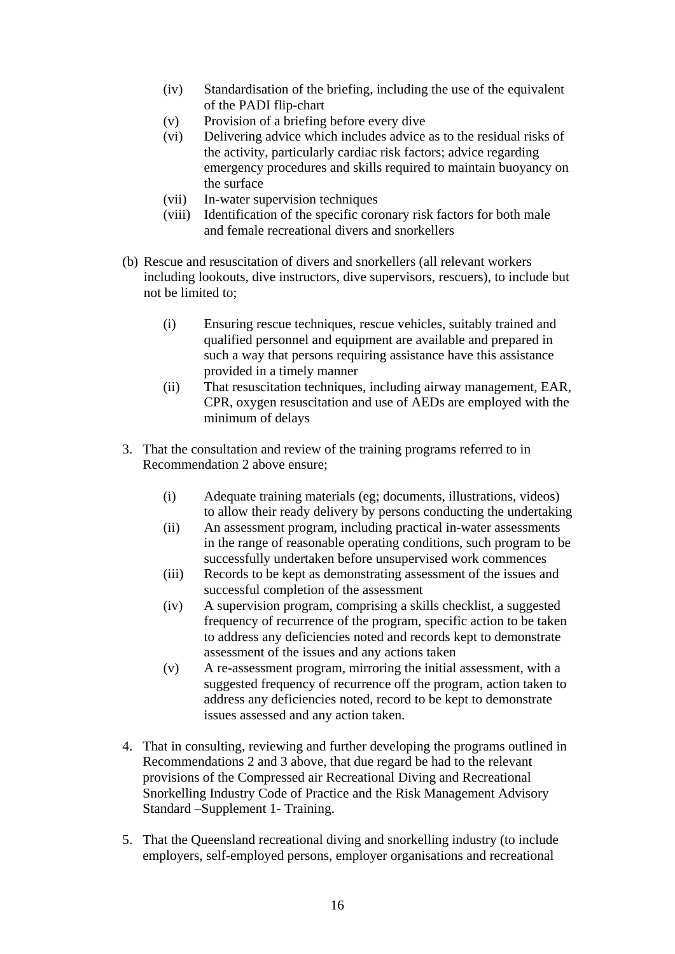- (iv) Standardisation of the briefing, including the use of the equivalent of the PADI flip-chart
- (v) Provision of a briefing before every dive
- (vi) Delivering advice which includes advice as to the residual risks of the activity, particularly cardiac risk factors; advice regarding emergency procedures and skills required to maintain buoyancy on the surface
- (vii) In-water supervision techniques
- (viii) Identification of the specific coronary risk factors for both male and female recreational divers and snorkellers
- (b) Rescue and resuscitation of divers and snorkellers (all relevant workers including lookouts, dive instructors, dive supervisors, rescuers), to include but not be limited to;
	- (i) Ensuring rescue techniques, rescue vehicles, suitably trained and qualified personnel and equipment are available and prepared in such a way that persons requiring assistance have this assistance provided in a timely manner
	- (ii) That resuscitation techniques, including airway management, EAR, CPR, oxygen resuscitation and use of AEDs are employed with the minimum of delays
- 3. That the consultation and review of the training programs referred to in Recommendation 2 above ensure;
	- (i) Adequate training materials (eg; documents, illustrations, videos) to allow their ready delivery by persons conducting the undertaking
	- (ii) An assessment program, including practical in-water assessments in the range of reasonable operating conditions, such program to be successfully undertaken before unsupervised work commences
	- (iii) Records to be kept as demonstrating assessment of the issues and successful completion of the assessment
	- (iv) A supervision program, comprising a skills checklist, a suggested frequency of recurrence of the program, specific action to be taken to address any deficiencies noted and records kept to demonstrate assessment of the issues and any actions taken
	- (v) A re-assessment program, mirroring the initial assessment, with a suggested frequency of recurrence off the program, action taken to address any deficiencies noted, record to be kept to demonstrate issues assessed and any action taken.
- 4. That in consulting, reviewing and further developing the programs outlined in Recommendations 2 and 3 above, that due regard be had to the relevant provisions of the Compressed air Recreational Diving and Recreational Snorkelling Industry Code of Practice and the Risk Management Advisory Standard –Supplement 1- Training.
- 5. That the Queensland recreational diving and snorkelling industry (to include employers, self-employed persons, employer organisations and recreational